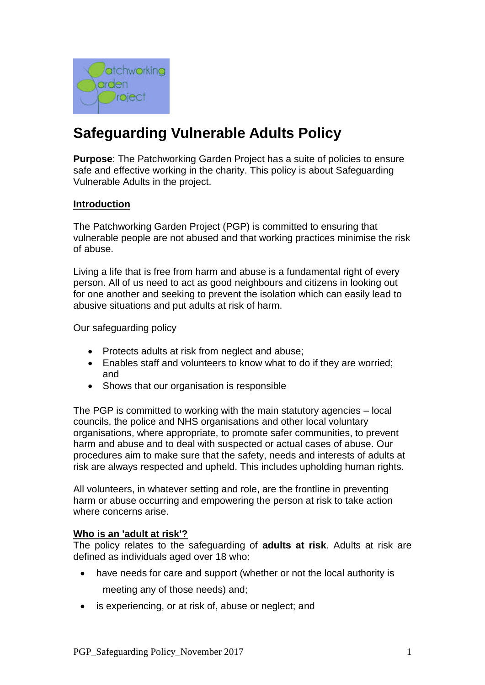

# **Safeguarding Vulnerable Adults Policy**

**Purpose**: The Patchworking Garden Project has a suite of policies to ensure safe and effective working in the charity. This policy is about Safeguarding Vulnerable Adults in the project.

#### **Introduction**

The Patchworking Garden Project (PGP) is committed to ensuring that vulnerable people are not abused and that working practices minimise the risk of abuse.

Living a life that is free from harm and abuse is a fundamental right of every person. All of us need to act as good neighbours and citizens in looking out for one another and seeking to prevent the isolation which can easily lead to abusive situations and put adults at risk of harm.

Our safeguarding policy

- Protects adults at risk from neglect and abuse;
- Enables staff and volunteers to know what to do if they are worried; and
- Shows that our organisation is responsible

The PGP is committed to working with the main statutory agencies – local councils, the police and NHS organisations and other local voluntary organisations, where appropriate, to promote safer communities, to prevent harm and abuse and to deal with suspected or actual cases of abuse. Our procedures aim to make sure that the safety, needs and interests of adults at risk are always respected and upheld. This includes upholding human rights.

All volunteers, in whatever setting and role, are the frontline in preventing harm or abuse occurring and empowering the person at risk to take action where concerns arise.

#### **Who is an 'adult at risk'?**

The policy relates to the safeguarding of **adults at risk**. Adults at risk are defined as individuals aged over 18 who:

- have needs for care and support (whether or not the local authority is meeting any of those needs) and;
- is experiencing, or at risk of, abuse or neglect; and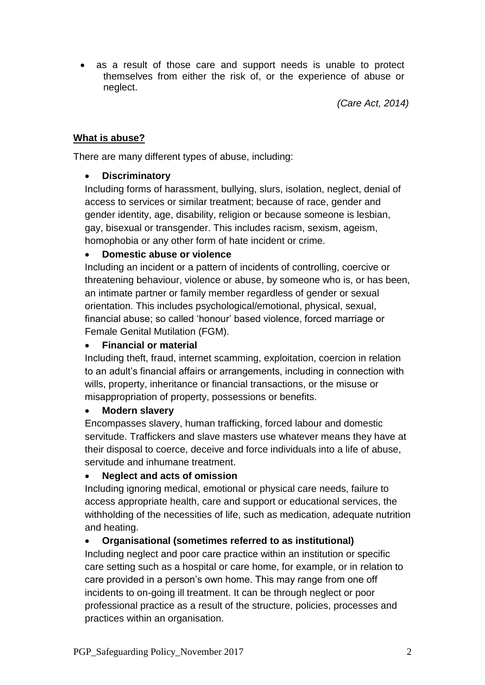as a result of those care and support needs is unable to protect themselves from either the risk of, or the experience of abuse or neglect.

*(Care Act, 2014)*

# **What is abuse?**

There are many different types of abuse, including:

# **Discriminatory**

Including forms of harassment, bullying, slurs, isolation, neglect, denial of access to services or similar treatment; because of race, gender and gender identity, age, disability, religion or because someone is lesbian, gay, bisexual or transgender. This includes racism, sexism, ageism, homophobia or any other form of hate incident or crime.

# **Domestic abuse or violence**

Including an incident or a pattern of incidents of controlling, coercive or threatening behaviour, violence or abuse, by someone who is, or has been, an intimate partner or family member regardless of gender or sexual orientation. This includes psychological/emotional, physical, sexual, financial abuse; so called 'honour' based violence, forced marriage or Female Genital Mutilation (FGM).

# **Financial or material**

Including theft, fraud, internet scamming, exploitation, coercion in relation to an adult's financial affairs or arrangements, including in connection with wills, property, inheritance or financial transactions, or the misuse or misappropriation of property, possessions or benefits.

# **Modern slavery**

Encompasses slavery, human trafficking, forced labour and domestic servitude. Traffickers and slave masters use whatever means they have at their disposal to coerce, deceive and force individuals into a life of abuse, servitude and inhumane treatment.

# **Neglect and acts of omission**

Including ignoring medical, emotional or physical care needs, failure to access appropriate health, care and support or educational services, the withholding of the necessities of life, such as medication, adequate nutrition and heating.

# **Organisational (sometimes referred to as institutional)**

Including neglect and poor care practice within an institution or specific care setting such as a hospital or care home, for example, or in relation to care provided in a person's own home. This may range from one off incidents to on-going ill treatment. It can be through neglect or poor professional practice as a result of the structure, policies, processes and practices within an organisation.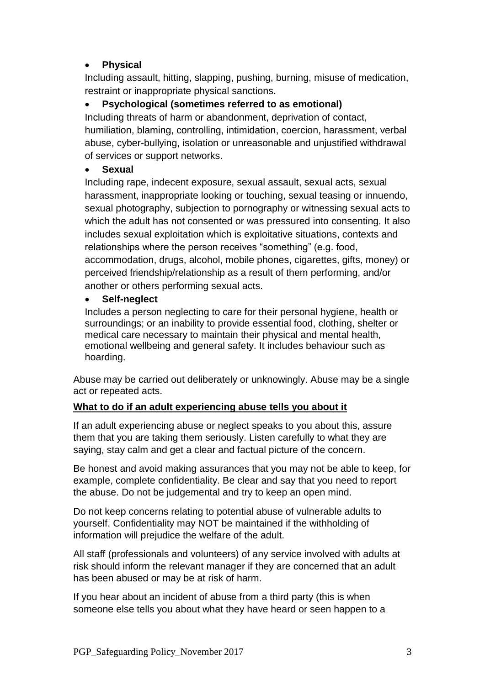# **Physical**

Including assault, hitting, slapping, pushing, burning, misuse of medication, restraint or inappropriate physical sanctions.

# **Psychological (sometimes referred to as emotional)**

Including threats of harm or abandonment, deprivation of contact, humiliation, blaming, controlling, intimidation, coercion, harassment, verbal abuse, cyber-bullying, isolation or unreasonable and unjustified withdrawal of services or support networks.

# **Sexual**

Including rape, indecent exposure, sexual assault, sexual acts, sexual harassment, inappropriate looking or touching, sexual teasing or innuendo, sexual photography, subjection to pornography or witnessing sexual acts to which the adult has not consented or was pressured into consenting. It also includes sexual exploitation which is exploitative situations, contexts and relationships where the person receives "something" (e.g. food, accommodation, drugs, alcohol, mobile phones, cigarettes, gifts, money) or perceived friendship/relationship as a result of them performing, and/or another or others performing sexual acts.

# **Self-neglect**

Includes a person neglecting to care for their personal hygiene, health or surroundings; or an inability to provide essential food, clothing, shelter or medical care necessary to maintain their physical and mental health, emotional wellbeing and general safety. It includes behaviour such as hoarding.

Abuse may be carried out deliberately or unknowingly. Abuse may be a single act or repeated acts.

# **What to do if an adult experiencing abuse tells you about it**

If an adult experiencing abuse or neglect speaks to you about this, assure them that you are taking them seriously. Listen carefully to what they are saying, stay calm and get a clear and factual picture of the concern.

Be honest and avoid making assurances that you may not be able to keep, for example, complete confidentiality. Be clear and say that you need to report the abuse. Do not be judgemental and try to keep an open mind.

Do not keep concerns relating to potential abuse of vulnerable adults to yourself. Confidentiality may NOT be maintained if the withholding of information will prejudice the welfare of the adult.

All staff (professionals and volunteers) of any service involved with adults at risk should inform the relevant manager if they are concerned that an adult has been abused or may be at risk of harm.

If you hear about an incident of abuse from a third party (this is when someone else tells you about what they have heard or seen happen to a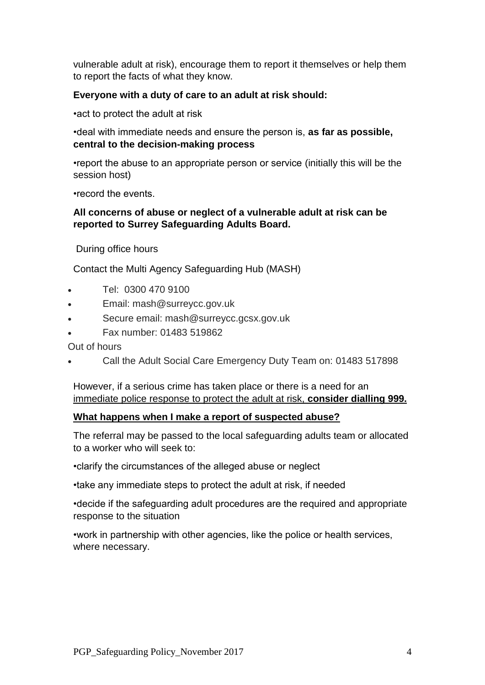vulnerable adult at risk), encourage them to report it themselves or help them to report the facts of what they know.

### **Everyone with a duty of care to an adult at risk should:**

•act to protect the adult at risk

•deal with immediate needs and ensure the person is, **as far as possible, central to the decision-making process**

•report the abuse to an appropriate person or service (initially this will be the session host)

•record the events.

#### **All concerns of abuse or neglect of a vulnerable adult at risk can be reported to Surrey Safeguarding Adults Board.**

During office hours

Contact the Multi Agency Safeguarding Hub (MASH)

- Tel: 0300 470 9100
- Email: mash@surreycc.gov.uk
- Secure email: mash@surreycc.gcsx.gov.uk
- Fax number: 01483 519862

Out of hours

Call the Adult Social Care Emergency Duty Team on: 01483 517898

However, if a serious crime has taken place or there is a need for an immediate police response to protect the adult at risk, **consider dialling 999.**

# **What happens when I make a report of suspected abuse?**

The referral may be passed to the local safeguarding adults team or allocated to a worker who will seek to:

•clarify the circumstances of the alleged abuse or neglect

•take any immediate steps to protect the adult at risk, if needed

•decide if the safeguarding adult procedures are the required and appropriate response to the situation

•work in partnership with other agencies, like the police or health services, where necessary.